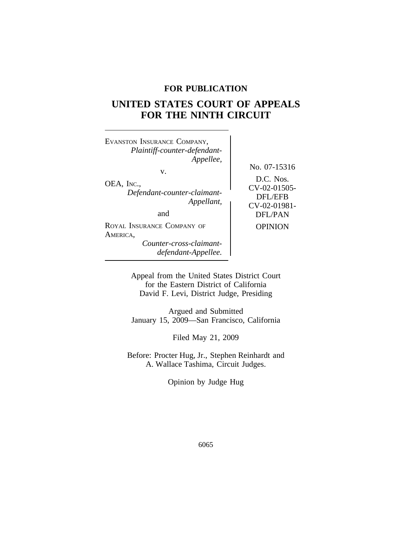# **FOR PUBLICATION**

# **UNITED STATES COURT OF APPEALS FOR THE NINTH CIRCUIT**

<sup>E</sup>VANSTON INSURANCE COMPANY, *Plaintiff-counter-defendant-Appellee,* No. 07-15316 v. OEA, INC.,<br> *Defendant-counter-claimant-*<br> *Appellant*,<br> *Appellant*,<br> *CV-02-01981-*<br> *CV-02-01981-*<br> *CV-02-01981-*DFL/PAN ROYAL INSURANCE COMPANY OF OPINION AMERICA, *Counter-cross-claimantdefendant-Appellee.*

> Appeal from the United States District Court for the Eastern District of California David F. Levi, District Judge, Presiding

> Argued and Submitted January 15, 2009—San Francisco, California

> > Filed May 21, 2009

Before: Procter Hug, Jr., Stephen Reinhardt and A. Wallace Tashima, Circuit Judges.

Opinion by Judge Hug

6065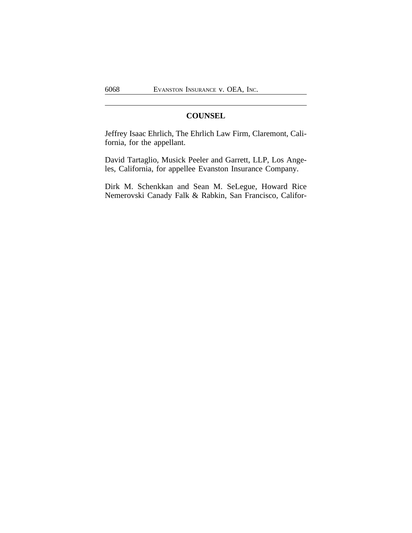# **COUNSEL**

Jeffrey Isaac Ehrlich, The Ehrlich Law Firm, Claremont, California, for the appellant.

David Tartaglio, Musick Peeler and Garrett, LLP, Los Angeles, California, for appellee Evanston Insurance Company.

Dirk M. Schenkkan and Sean M. SeLegue, Howard Rice Nemerovski Canady Falk & Rabkin, San Francisco, Califor-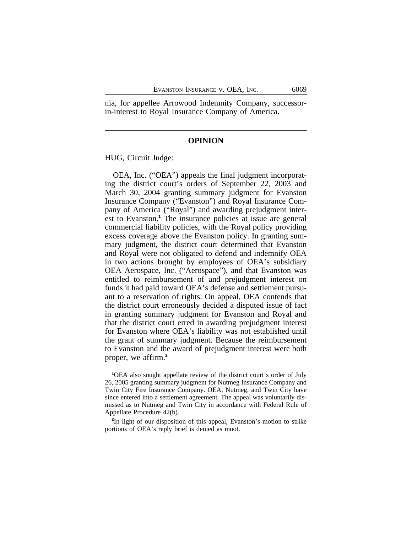nia, for appellee Arrowood Indemnity Company, successorin-interest to Royal Insurance Company of America.

#### **OPINION**

HUG, Circuit Judge:

OEA, Inc. ("OEA") appeals the final judgment incorporating the district court's orders of September 22, 2003 and March 30, 2004 granting summary judgment for Evanston Insurance Company ("Evanston") and Royal Insurance Company of America ("Royal") and awarding prejudgment interest to Evanston.**<sup>1</sup>** The insurance policies at issue are general commercial liability policies, with the Royal policy providing excess coverage above the Evanston policy. In granting summary judgment, the district court determined that Evanston and Royal were not obligated to defend and indemnify OEA in two actions brought by employees of OEA's subsidiary OEA Aerospace, Inc. ("Aerospace"), and that Evanston was entitled to reimbursement of and prejudgment interest on funds it had paid toward OEA's defense and settlement pursuant to a reservation of rights. On appeal, OEA contends that the district court erroneously decided a disputed issue of fact in granting summary judgment for Evanston and Royal and that the district court erred in awarding prejudgment interest for Evanston where OEA's liability was not established until the grant of summary judgment. Because the reimbursement to Evanston and the award of prejudgment interest were both proper, we affirm.**<sup>2</sup>**

**<sup>1</sup>**OEA also sought appellate review of the district court's order of July 26, 2005 granting summary judgment for Nutmeg Insurance Company and Twin City Fire Insurance Company. OEA, Nutmeg, and Twin City have since entered into a settlement agreement. The appeal was voluntarily dismissed as to Nutmeg and Twin City in accordance with Federal Rule of Appellate Procedure 42(b).

**<sup>2</sup>** In light of our disposition of this appeal, Evanston's motion to strike portions of OEA's reply brief is denied as moot.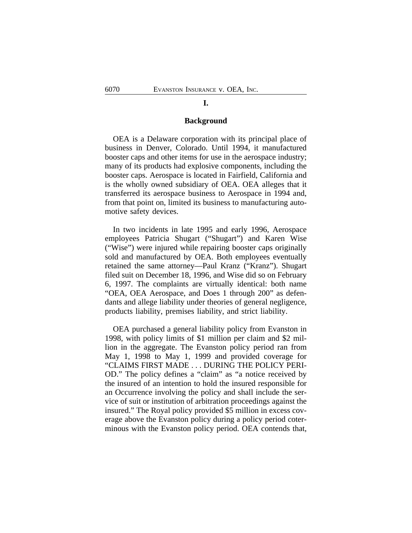#### **I.**

#### **Background**

OEA is a Delaware corporation with its principal place of business in Denver, Colorado. Until 1994, it manufactured booster caps and other items for use in the aerospace industry; many of its products had explosive components, including the booster caps. Aerospace is located in Fairfield, California and is the wholly owned subsidiary of OEA. OEA alleges that it transferred its aerospace business to Aerospace in 1994 and, from that point on, limited its business to manufacturing automotive safety devices.

In two incidents in late 1995 and early 1996, Aerospace employees Patricia Shugart ("Shugart") and Karen Wise ("Wise") were injured while repairing booster caps originally sold and manufactured by OEA. Both employees eventually retained the same attorney—Paul Kranz ("Kranz"). Shugart filed suit on December 18, 1996, and Wise did so on February 6, 1997. The complaints are virtually identical: both name "OEA, OEA Aerospace, and Does 1 through 200" as defendants and allege liability under theories of general negligence, products liability, premises liability, and strict liability.

OEA purchased a general liability policy from Evanston in 1998, with policy limits of \$1 million per claim and \$2 million in the aggregate. The Evanston policy period ran from May 1, 1998 to May 1, 1999 and provided coverage for "CLAIMS FIRST MADE . . . DURING THE POLICY PERI-OD." The policy defines a "claim" as "a notice received by the insured of an intention to hold the insured responsible for an Occurrence involving the policy and shall include the service of suit or institution of arbitration proceedings against the insured." The Royal policy provided \$5 million in excess coverage above the Evanston policy during a policy period coterminous with the Evanston policy period. OEA contends that,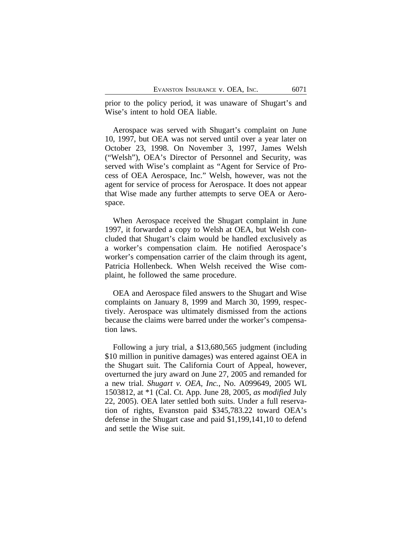prior to the policy period, it was unaware of Shugart's and Wise's intent to hold OEA liable.

Aerospace was served with Shugart's complaint on June 10, 1997, but OEA was not served until over a year later on October 23, 1998. On November 3, 1997, James Welsh ("Welsh"), OEA's Director of Personnel and Security, was served with Wise's complaint as "Agent for Service of Process of OEA Aerospace, Inc." Welsh, however, was not the agent for service of process for Aerospace. It does not appear that Wise made any further attempts to serve OEA or Aerospace.

When Aerospace received the Shugart complaint in June 1997, it forwarded a copy to Welsh at OEA, but Welsh concluded that Shugart's claim would be handled exclusively as a worker's compensation claim. He notified Aerospace's worker's compensation carrier of the claim through its agent, Patricia Hollenbeck. When Welsh received the Wise complaint, he followed the same procedure.

OEA and Aerospace filed answers to the Shugart and Wise complaints on January 8, 1999 and March 30, 1999, respectively. Aerospace was ultimately dismissed from the actions because the claims were barred under the worker's compensation laws.

Following a jury trial, a \$13,680,565 judgment (including \$10 million in punitive damages) was entered against OEA in the Shugart suit. The California Court of Appeal, however, overturned the jury award on June 27, 2005 and remanded for a new trial. *Shugart v. OEA, Inc.*, No. A099649, 2005 WL 1503812, at \*1 (Cal. Ct. App. June 28, 2005, *as modified* July 22, 2005). OEA later settled both suits. Under a full reservation of rights, Evanston paid \$345,783.22 toward OEA's defense in the Shugart case and paid \$1,199,141,10 to defend and settle the Wise suit.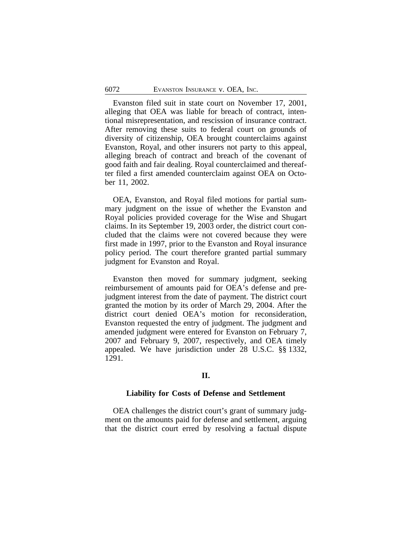Evanston filed suit in state court on November 17, 2001, alleging that OEA was liable for breach of contract, intentional misrepresentation, and rescission of insurance contract. After removing these suits to federal court on grounds of diversity of citizenship, OEA brought counterclaims against Evanston, Royal, and other insurers not party to this appeal, alleging breach of contract and breach of the covenant of good faith and fair dealing. Royal counterclaimed and thereafter filed a first amended counterclaim against OEA on October 11, 2002.

OEA, Evanston, and Royal filed motions for partial summary judgment on the issue of whether the Evanston and Royal policies provided coverage for the Wise and Shugart claims. In its September 19, 2003 order, the district court concluded that the claims were not covered because they were first made in 1997, prior to the Evanston and Royal insurance policy period. The court therefore granted partial summary judgment for Evanston and Royal.

Evanston then moved for summary judgment, seeking reimbursement of amounts paid for OEA's defense and prejudgment interest from the date of payment. The district court granted the motion by its order of March 29, 2004. After the district court denied OEA's motion for reconsideration, Evanston requested the entry of judgment. The judgment and amended judgment were entered for Evanston on February 7, 2007 and February 9, 2007, respectively, and OEA timely appealed. We have jurisdiction under 28 U.S.C. §§ 1332, 1291.

## **II.**

#### **Liability for Costs of Defense and Settlement**

OEA challenges the district court's grant of summary judgment on the amounts paid for defense and settlement, arguing that the district court erred by resolving a factual dispute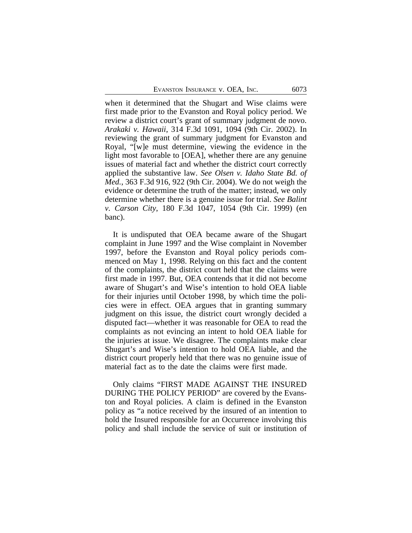when it determined that the Shugart and Wise claims were first made prior to the Evanston and Royal policy period. We review a district court's grant of summary judgment de novo. *Arakaki v. Hawaii*, 314 F.3d 1091, 1094 (9th Cir. 2002). In reviewing the grant of summary judgment for Evanston and Royal, "[w]e must determine, viewing the evidence in the light most favorable to [OEA], whether there are any genuine issues of material fact and whether the district court correctly applied the substantive law. *See Olsen v. Idaho State Bd. of Med.*, 363 F.3d 916, 922 (9th Cir. 2004). We do not weigh the evidence or determine the truth of the matter; instead, we only determine whether there is a genuine issue for trial. *See Balint v. Carson City*, 180 F.3d 1047, 1054 (9th Cir. 1999) (en banc).

It is undisputed that OEA became aware of the Shugart complaint in June 1997 and the Wise complaint in November 1997, before the Evanston and Royal policy periods commenced on May 1, 1998. Relying on this fact and the content of the complaints, the district court held that the claims were first made in 1997. But, OEA contends that it did not become aware of Shugart's and Wise's intention to hold OEA liable for their injuries until October 1998, by which time the policies were in effect. OEA argues that in granting summary judgment on this issue, the district court wrongly decided a disputed fact—whether it was reasonable for OEA to read the complaints as not evincing an intent to hold OEA liable for the injuries at issue. We disagree. The complaints make clear Shugart's and Wise's intention to hold OEA liable, and the district court properly held that there was no genuine issue of material fact as to the date the claims were first made.

Only claims "FIRST MADE AGAINST THE INSURED DURING THE POLICY PERIOD" are covered by the Evanston and Royal policies. A claim is defined in the Evanston policy as "a notice received by the insured of an intention to hold the Insured responsible for an Occurrence involving this policy and shall include the service of suit or institution of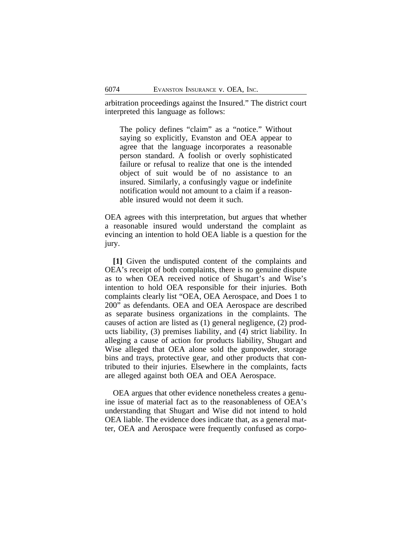arbitration proceedings against the Insured." The district court interpreted this language as follows:

The policy defines "claim" as a "notice." Without saying so explicitly, Evanston and OEA appear to agree that the language incorporates a reasonable person standard. A foolish or overly sophisticated failure or refusal to realize that one is the intended object of suit would be of no assistance to an insured. Similarly, a confusingly vague or indefinite notification would not amount to a claim if a reasonable insured would not deem it such.

OEA agrees with this interpretation, but argues that whether a reasonable insured would understand the complaint as evincing an intention to hold OEA liable is a question for the jury.

**[1]** Given the undisputed content of the complaints and OEA's receipt of both complaints, there is no genuine dispute as to when OEA received notice of Shugart's and Wise's intention to hold OEA responsible for their injuries. Both complaints clearly list "OEA, OEA Aerospace, and Does 1 to 200" as defendants. OEA and OEA Aerospace are described as separate business organizations in the complaints. The causes of action are listed as (1) general negligence, (2) products liability, (3) premises liability, and (4) strict liability. In alleging a cause of action for products liability, Shugart and Wise alleged that OEA alone sold the gunpowder, storage bins and trays, protective gear, and other products that contributed to their injuries. Elsewhere in the complaints, facts are alleged against both OEA and OEA Aerospace.

OEA argues that other evidence nonetheless creates a genuine issue of material fact as to the reasonableness of OEA's understanding that Shugart and Wise did not intend to hold OEA liable. The evidence does indicate that, as a general matter, OEA and Aerospace were frequently confused as corpo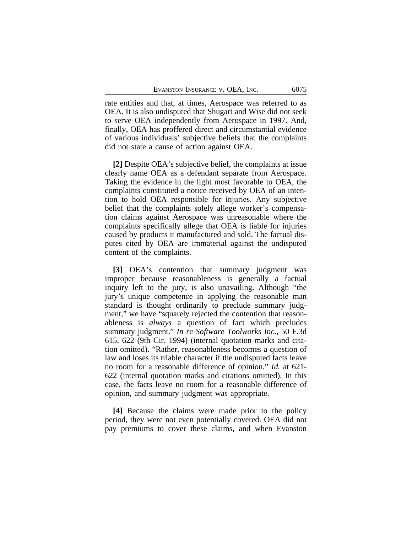rate entities and that, at times, Aerospace was referred to as OEA. It is also undisputed that Shugart and Wise did not seek to serve OEA independently from Aerospace in 1997. And, finally, OEA has proffered direct and circumstantial evidence of various individuals' subjective beliefs that the complaints did not state a cause of action against OEA.

**[2]** Despite OEA's subjective belief, the complaints at issue clearly name OEA as a defendant separate from Aerospace. Taking the evidence in the light most favorable to OEA, the complaints constituted a notice received by OEA of an intention to hold OEA responsible for injuries. Any subjective belief that the complaints solely allege worker's compensation claims against Aerospace was unreasonable where the complaints specifically allege that OEA is liable for injuries caused by products it manufactured and sold. The factual disputes cited by OEA are immaterial against the undisputed content of the complaints.

**[3]** OEA's contention that summary judgment was improper because reasonableness is generally a factual inquiry left to the jury, is also unavailing. Although "the jury's unique competence in applying the reasonable man standard is thought ordinarily to preclude summary judgment," we have "squarely rejected the contention that reasonableness is *always* a question of fact which precludes summary judgment." *In re Software Toolworks Inc.*, 50 F.3d 615, 622 (9th Cir. 1994) (internal quotation marks and citation omitted). "Rather, reasonableness becomes a question of law and loses its triable character if the undisputed facts leave no room for a reasonable difference of opinion." *Id.* at 621- 622 (internal quotation marks and citations omitted). In this case, the facts leave no room for a reasonable difference of opinion, and summary judgment was appropriate.

**[4]** Because the claims were made prior to the policy period, they were not even potentially covered. OEA did not pay premiums to cover these claims, and when Evanston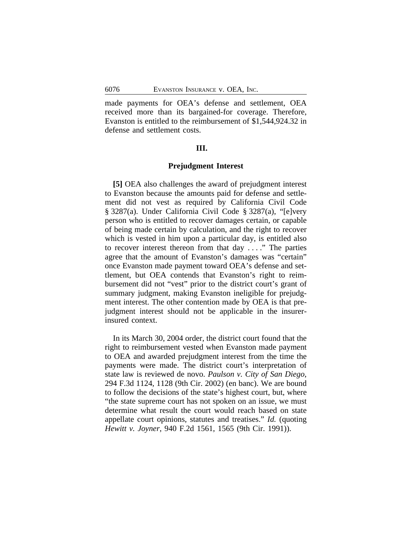made payments for OEA's defense and settlement, OEA received more than its bargained-for coverage. Therefore, Evanston is entitled to the reimbursement of \$1,544,924.32 in defense and settlement costs.

### **III.**

## **Prejudgment Interest**

**[5]** OEA also challenges the award of prejudgment interest to Evanston because the amounts paid for defense and settlement did not vest as required by California Civil Code § 3287(a). Under California Civil Code § 3287(a), "[e]very person who is entitled to recover damages certain, or capable of being made certain by calculation, and the right to recover which is vested in him upon a particular day, is entitled also to recover interest thereon from that day . . . ." The parties agree that the amount of Evanston's damages was "certain" once Evanston made payment toward OEA's defense and settlement, but OEA contends that Evanston's right to reimbursement did not "vest" prior to the district court's grant of summary judgment, making Evanston ineligible for prejudgment interest. The other contention made by OEA is that prejudgment interest should not be applicable in the insurerinsured context.

In its March 30, 2004 order, the district court found that the right to reimbursement vested when Evanston made payment to OEA and awarded prejudgment interest from the time the payments were made. The district court's interpretation of state law is reviewed de novo. *Paulson v. City of San Diego*, 294 F.3d 1124, 1128 (9th Cir. 2002) (en banc). We are bound to follow the decisions of the state's highest court, but, where "the state supreme court has not spoken on an issue, we must determine what result the court would reach based on state appellate court opinions, statutes and treatises." *Id.* (quoting *Hewitt v. Joyner*, 940 F.2d 1561, 1565 (9th Cir. 1991)).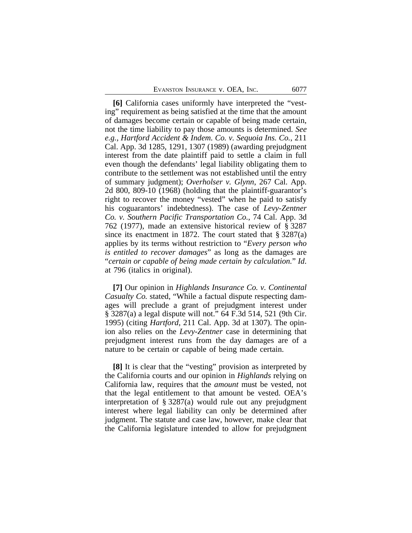**[6]** California cases uniformly have interpreted the "vesting" requirement as being satisfied at the time that the amount of damages become certain or capable of being made certain, not the time liability to pay those amounts is determined. *See e.g.*, *Hartford Accident & Indem. Co. v. Sequoia Ins. Co.*, 211 Cal. App. 3d 1285, 1291, 1307 (1989) (awarding prejudgment interest from the date plaintiff paid to settle a claim in full even though the defendants' legal liability obligating them to contribute to the settlement was not established until the entry of summary judgment); *Overholser v. Glynn*, 267 Cal. App. 2d 800, 809-10 (1968) (holding that the plaintiff-guarantor's right to recover the money "vested" when he paid to satisfy his coguarantors' indebtedness). The case of *Levy-Zentner Co. v. Southern Pacific Transportation Co.*, 74 Cal. App. 3d 762 (1977), made an extensive historical review of § 3287 since its enactment in 1872. The court stated that  $\S 3287(a)$ applies by its terms without restriction to "*Every person who is entitled to recover damages*" as long as the damages are "*certain or capable of being made certain by calculation.*" *Id*. at 796 (italics in original).

**[7]** Our opinion in *Highlands Insurance Co. v. Continental Casualty Co.* stated, "While a factual dispute respecting damages will preclude a grant of prejudgment interest under § 3287(a) a legal dispute will not." 64 F.3d 514, 521 (9th Cir. 1995) (citing *Hartford*, 211 Cal. App. 3d at 1307). The opinion also relies on the *Levy-Zentner* case in determining that prejudgment interest runs from the day damages are of a nature to be certain or capable of being made certain.

**[8]** It is clear that the "vesting" provision as interpreted by the California courts and our opinion in *Highlands* relying on California law, requires that the *amount* must be vested, not that the legal entitlement to that amount be vested. OEA's interpretation of § 3287(a) would rule out any prejudgment interest where legal liability can only be determined after judgment. The statute and case law, however, make clear that the California legislature intended to allow for prejudgment